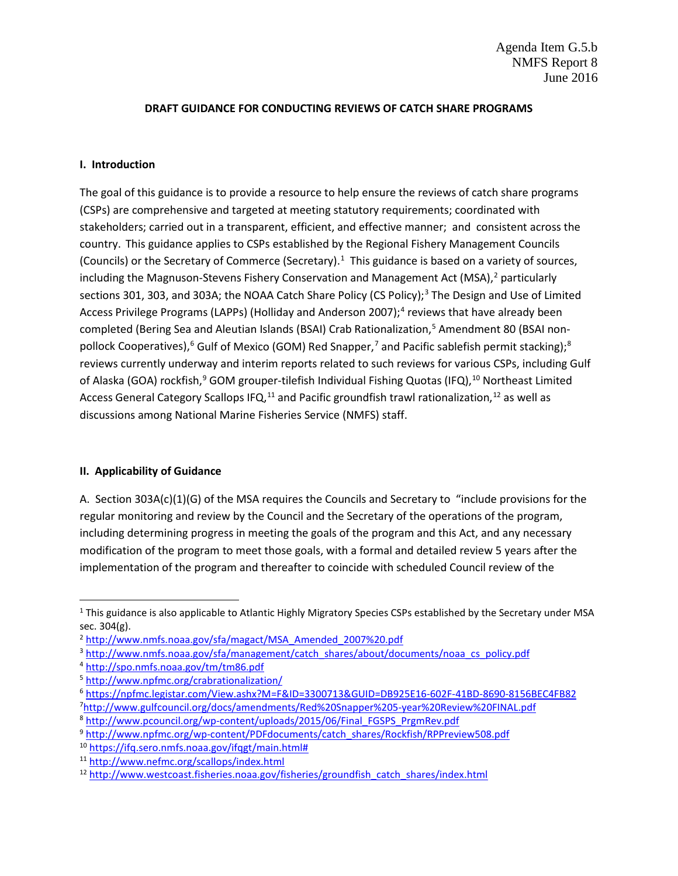### **DRAFT GUIDANCE FOR CONDUCTING REVIEWS OF CATCH SHARE PROGRAMS**

### **I. Introduction**

The goal of this guidance is to provide a resource to help ensure the reviews of catch share programs (CSPs) are comprehensive and targeted at meeting statutory requirements; coordinated with stakeholders; carried out in a transparent, efficient, and effective manner; and consistent across the country. This guidance applies to CSPs established by the Regional Fishery Management Councils (Councils) or the Secretary of Commerce (Secretary). [1](#page-0-0) This guidance is based on a variety of sources, including the Magnuson-Stevens Fishery Conservation and Management Act (MSA), $^2$  $^2$  particularly sections [3](#page-0-2)01, 303, and 303A; the NOAA Catch Share Policy (CS Policy);<sup>3</sup> The Design and Use of Limited Access Privilege Programs (LAPPs) (Holliday and Anderson 2007);<sup>[4](#page-0-3)</sup> reviews that have already been completed (Bering Sea and Aleutian Islands (BSAI) Crab Rationalization,<sup>[5](#page-0-4)</sup> Amendment 80 (BSAI non-pollock Cooperatives),<sup>[6](#page-0-5)</sup> Gulf of Mexico (GOM) Red Snapper,<sup>[7](#page-0-6)</sup> and Pacific sablefish permit stacking);<sup>[8](#page-0-7)</sup> reviews currently underway and interim reports related to such reviews for various CSPs, including Gulf of Alaska (GOA) rockfish,<sup>[9](#page-0-8)</sup> GOM grouper-tilefish Individual Fishing Quotas (IFQ),<sup>[10](#page-0-9)</sup> Northeast Limited Access General Category Scallops IFQ,<sup>11</sup> and Pacific groundfish trawl rationalization,<sup>[12](#page-0-11)</sup> as well as discussions among National Marine Fisheries Service (NMFS) staff.

#### **II. Applicability of Guidance**

A. Section 303A(c)(1)(G) of the MSA requires the Councils and Secretary to "include provisions for the regular monitoring and review by the Council and the Secretary of the operations of the program, including determining progress in meeting the goals of the program and this Act, and any necessary modification of the program to meet those goals, with a formal and detailed review 5 years after the implementation of the program and thereafter to coincide with scheduled Council review of the

<span id="page-0-6"></span><span id="page-0-5"></span><sup>6</sup> <https://npfmc.legistar.com/View.ashx?M=F&ID=3300713&GUID=DB925E16-602F-41BD-8690-8156BEC4FB82> 7 <http://www.gulfcouncil.org/docs/amendments/Red%20Snapper%205-year%20Review%20FINAL.pdf>

<span id="page-0-0"></span><sup>&</sup>lt;sup>1</sup> This guidance is also applicable to Atlantic Highly Migratory Species CSPs established by the Secretary under MSA sec. 304(g).

<span id="page-0-1"></span><sup>2</sup> [http://www.nmfs.noaa.gov/sfa/magact/MSA\\_Amended\\_2007%20.pdf](http://www.nmfs.noaa.gov/sfa/magact/MSA_Amended_2007%20.pdf)

<span id="page-0-2"></span><sup>3</sup> [http://www.nmfs.noaa.gov/sfa/management/catch\\_shares/about/documents/noaa\\_cs\\_policy.pdf](http://www.nmfs.noaa.gov/sfa/management/catch_shares/about/documents/noaa_cs_policy.pdf)

<span id="page-0-3"></span><sup>4</sup> <http://spo.nmfs.noaa.gov/tm/tm86.pdf>

<span id="page-0-4"></span><sup>5</sup> <http://www.npfmc.org/crabrationalization/>

<span id="page-0-7"></span><sup>8</sup> [http://www.pcouncil.org/wp-content/uploads/2015/06/Final\\_FGSPS\\_PrgmRev.pdf](http://www.pcouncil.org/wp-content/uploads/2015/06/Final_FGSPS_PrgmRev.pdf)

<span id="page-0-8"></span><sup>9</sup> [http://www.npfmc.org/wp-content/PDFdocuments/catch\\_shares/Rockfish/RPPreview508.pdf](http://www.npfmc.org/wp-content/PDFdocuments/catch_shares/Rockfish/RPPreview508.pdf)

<span id="page-0-9"></span><sup>10</sup> [https://ifq.sero.nmfs.noaa.gov/ifqgt/main.html#](https://ifq.sero.nmfs.noaa.gov/ifqgt/main.html)

<span id="page-0-10"></span><sup>11</sup> <http://www.nefmc.org/scallops/index.html>

<span id="page-0-11"></span><sup>12</sup> [http://www.westcoast.fisheries.noaa.gov/fisheries/groundfish\\_catch\\_shares/index.html](http://www.westcoast.fisheries.noaa.gov/fisheries/groundfish_catch_shares/index.html)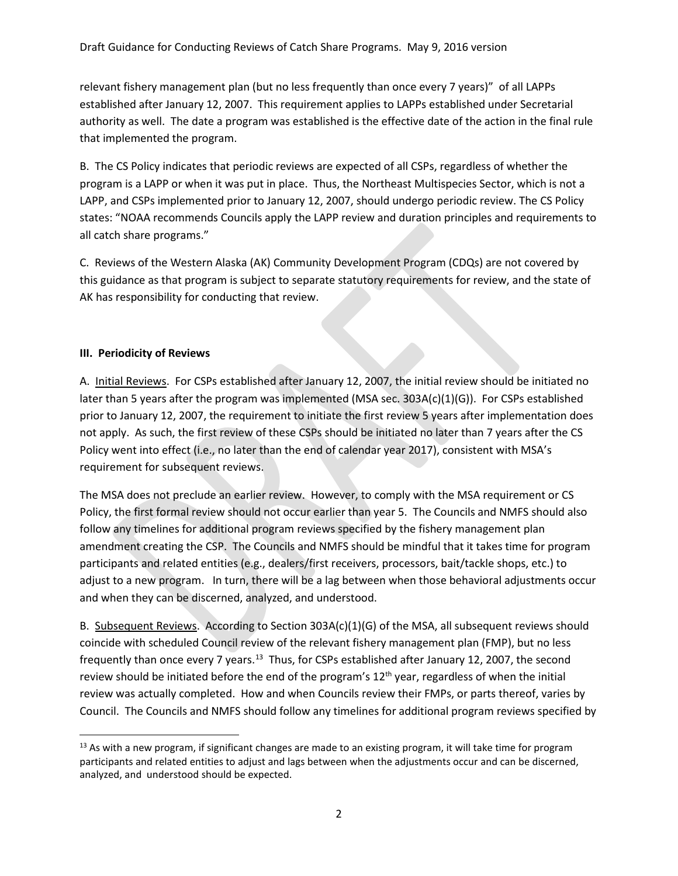relevant fishery management plan (but no less frequently than once every 7 years)" of all LAPPs established after January 12, 2007. This requirement applies to LAPPs established under Secretarial authority as well. The date a program was established is the effective date of the action in the final rule that implemented the program.

B. The CS Policy indicates that periodic reviews are expected of all CSPs, regardless of whether the program is a LAPP or when it was put in place. Thus, the Northeast Multispecies Sector, which is not a LAPP, and CSPs implemented prior to January 12, 2007, should undergo periodic review. The CS Policy states: "NOAA recommends Councils apply the LAPP review and duration principles and requirements to all catch share programs."

C. Reviews of the Western Alaska (AK) Community Development Program (CDQs) are not covered by this guidance as that program is subject to separate statutory requirements for review, and the state of AK has responsibility for conducting that review.

## **III. Periodicity of Reviews**

A. Initial Reviews. For CSPs established after January 12, 2007, the initial review should be initiated no later than 5 years after the program was implemented (MSA sec. 303A(c)(1)(G)). For CSPs established prior to January 12, 2007, the requirement to initiate the first review 5 years after implementation does not apply. As such, the first review of these CSPs should be initiated no later than 7 years after the CS Policy went into effect (i.e., no later than the end of calendar year 2017), consistent with MSA's requirement for subsequent reviews.

The MSA does not preclude an earlier review. However, to comply with the MSA requirement or CS Policy, the first formal review should not occur earlier than year 5. The Councils and NMFS should also follow any timelines for additional program reviews specified by the fishery management plan amendment creating the CSP. The Councils and NMFS should be mindful that it takes time for program participants and related entities (e.g., dealers/first receivers, processors, bait/tackle shops, etc.) to adjust to a new program. In turn, there will be a lag between when those behavioral adjustments occur and when they can be discerned, analyzed, and understood.

B. Subsequent Reviews. According to Section 303A(c)(1)(G) of the MSA, all subsequent reviews should coincide with scheduled Council review of the relevant fishery management plan (FMP), but no less frequently than once every 7 years.<sup>13</sup> Thus, for CSPs established after January 12, 2007, the second review should be initiated before the end of the program's 12<sup>th</sup> year, regardless of when the initial review was actually completed. How and when Councils review their FMPs, or parts thereof, varies by Council. The Councils and NMFS should follow any timelines for additional program reviews specified by

<span id="page-1-0"></span><sup>&</sup>lt;sup>13</sup> As with a new program, if significant changes are made to an existing program, it will take time for program participants and related entities to adjust and lags between when the adjustments occur and can be discerned, analyzed, and understood should be expected.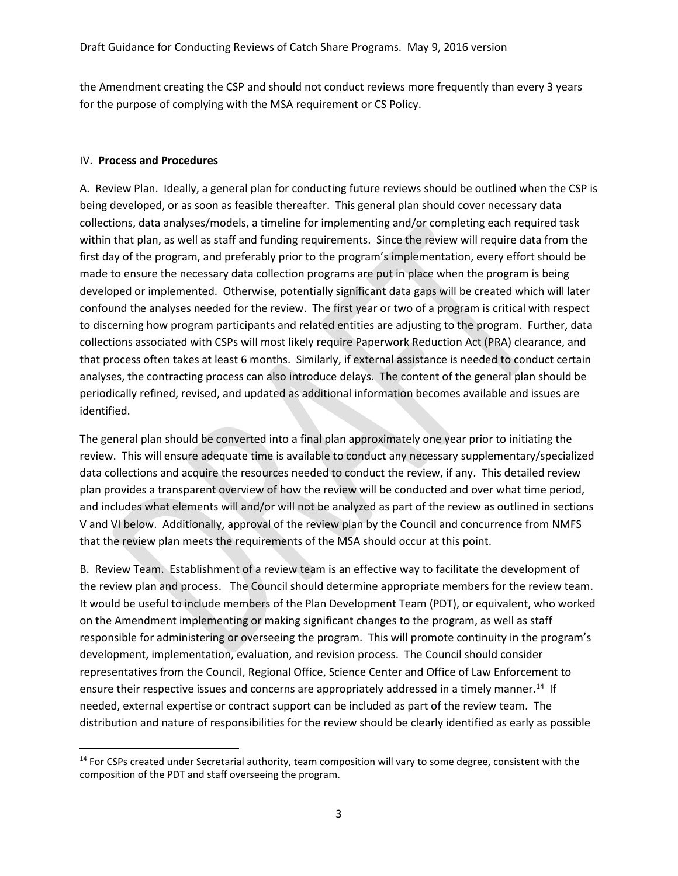the Amendment creating the CSP and should not conduct reviews more frequently than every 3 years for the purpose of complying with the MSA requirement or CS Policy.

## IV. **Process and Procedures**

A. Review Plan. Ideally, a general plan for conducting future reviews should be outlined when the CSP is being developed, or as soon as feasible thereafter. This general plan should cover necessary data collections, data analyses/models, a timeline for implementing and/or completing each required task within that plan, as well as staff and funding requirements. Since the review will require data from the first day of the program, and preferably prior to the program's implementation, every effort should be made to ensure the necessary data collection programs are put in place when the program is being developed or implemented. Otherwise, potentially significant data gaps will be created which will later confound the analyses needed for the review. The first year or two of a program is critical with respect to discerning how program participants and related entities are adjusting to the program. Further, data collections associated with CSPs will most likely require Paperwork Reduction Act (PRA) clearance, and that process often takes at least 6 months. Similarly, if external assistance is needed to conduct certain analyses, the contracting process can also introduce delays. The content of the general plan should be periodically refined, revised, and updated as additional information becomes available and issues are identified.

The general plan should be converted into a final plan approximately one year prior to initiating the review. This will ensure adequate time is available to conduct any necessary supplementary/specialized data collections and acquire the resources needed to conduct the review, if any. This detailed review plan provides a transparent overview of how the review will be conducted and over what time period, and includes what elements will and/or will not be analyzed as part of the review as outlined in sections V and VI below. Additionally, approval of the review plan by the Council and concurrence from NMFS that the review plan meets the requirements of the MSA should occur at this point.

B. Review Team. Establishment of a review team is an effective way to facilitate the development of the review plan and process. The Council should determine appropriate members for the review team. It would be useful to include members of the Plan Development Team (PDT), or equivalent, who worked on the Amendment implementing or making significant changes to the program, as well as staff responsible for administering or overseeing the program. This will promote continuity in the program's development, implementation, evaluation, and revision process. The Council should consider representatives from the Council, Regional Office, Science Center and Office of Law Enforcement to ensure their respective issues and concerns are appropriately addressed in a timely manner.<sup>14</sup> If needed, external expertise or contract support can be included as part of the review team. The distribution and nature of responsibilities for the review should be clearly identified as early as possible

<span id="page-2-0"></span><sup>&</sup>lt;sup>14</sup> For CSPs created under Secretarial authority, team composition will vary to some degree, consistent with the composition of the PDT and staff overseeing the program.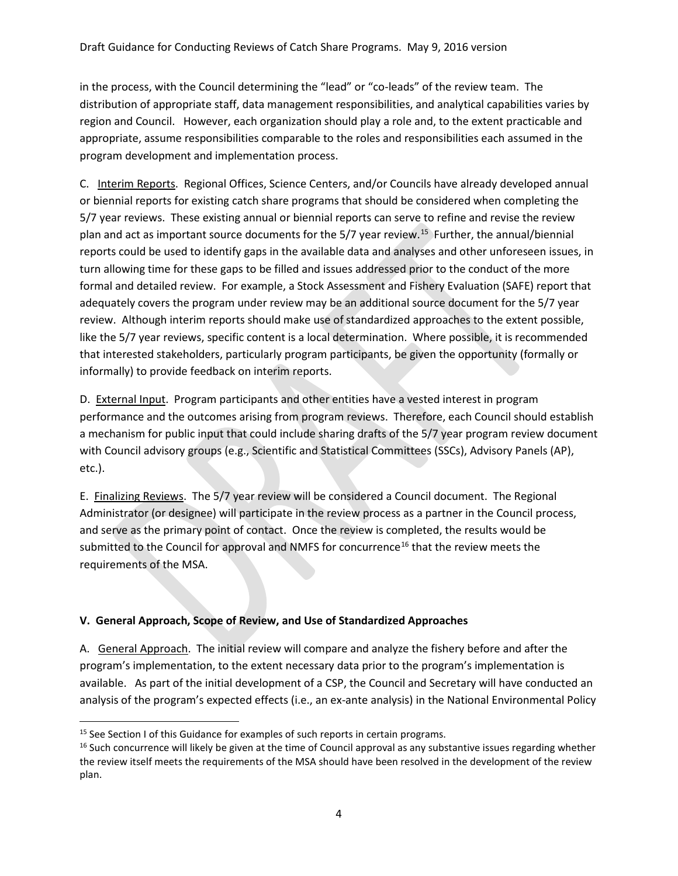in the process, with the Council determining the "lead" or "co-leads" of the review team. The distribution of appropriate staff, data management responsibilities, and analytical capabilities varies by region and Council. However, each organization should play a role and, to the extent practicable and appropriate, assume responsibilities comparable to the roles and responsibilities each assumed in the program development and implementation process.

C. Interim Reports. Regional Offices, Science Centers, and/or Councils have already developed annual or biennial reports for existing catch share programs that should be considered when completing the 5/7 year reviews. These existing annual or biennial reports can serve to refine and revise the review plan and act as important source documents for the 5/7 year review.<sup>[15](#page-3-0)</sup> Further, the annual/biennial reports could be used to identify gaps in the available data and analyses and other unforeseen issues, in turn allowing time for these gaps to be filled and issues addressed prior to the conduct of the more formal and detailed review. For example, a Stock Assessment and Fishery Evaluation (SAFE) report that adequately covers the program under review may be an additional source document for the 5/7 year review. Although interim reports should make use of standardized approaches to the extent possible, like the 5/7 year reviews, specific content is a local determination. Where possible, it is recommended that interested stakeholders, particularly program participants, be given the opportunity (formally or informally) to provide feedback on interim reports.

D. External Input. Program participants and other entities have a vested interest in program performance and the outcomes arising from program reviews. Therefore, each Council should establish a mechanism for public input that could include sharing drafts of the 5/7 year program review document with Council advisory groups (e.g., Scientific and Statistical Committees (SSCs), Advisory Panels (AP), etc.).

E. Finalizing Reviews. The 5/7 year review will be considered a Council document. The Regional Administrator (or designee) will participate in the review process as a partner in the Council process, and serve as the primary point of contact. Once the review is completed, the results would be submitted to the Council for approval and NMFS for concurrence<sup>16</sup> that the review meets the requirements of the MSA.

# **V. General Approach, Scope of Review, and Use of Standardized Approaches**

A. General Approach. The initial review will compare and analyze the fishery before and after the program's implementation, to the extent necessary data prior to the program's implementation is available. As part of the initial development of a CSP, the Council and Secretary will have conducted an analysis of the program's expected effects (i.e., an ex-ante analysis) in the National Environmental Policy

<span id="page-3-0"></span><sup>&</sup>lt;sup>15</sup> See Section I of this Guidance for examples of such reports in certain programs.

<span id="page-3-1"></span><sup>&</sup>lt;sup>16</sup> Such concurrence will likely be given at the time of Council approval as any substantive issues regarding whether the review itself meets the requirements of the MSA should have been resolved in the development of the review plan.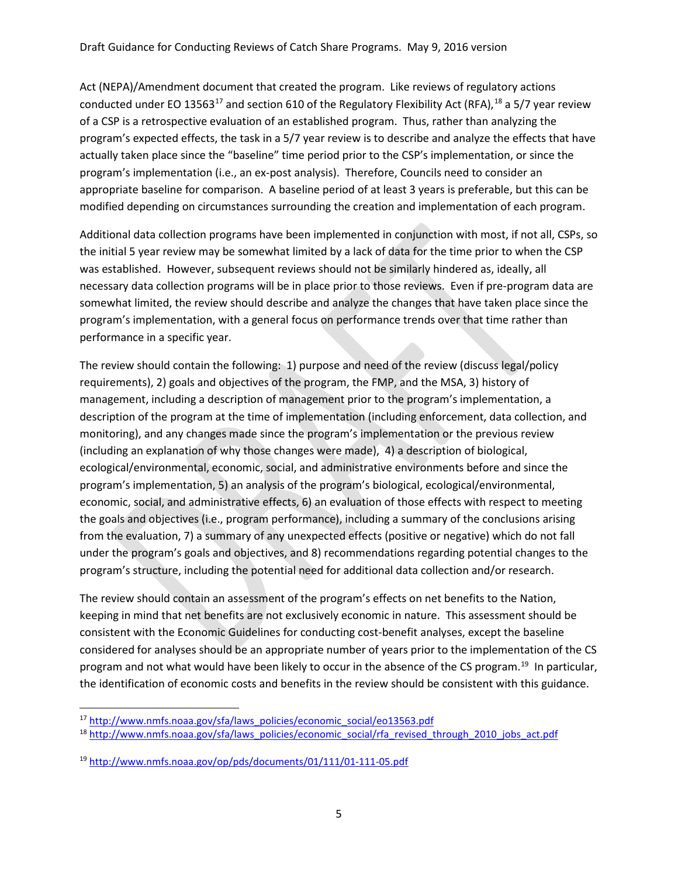Act (NEPA)/Amendment document that created the program. Like reviews of regulatory actions conducted under EO 13563<sup>[17](#page-4-0)</sup> and section 610 of the Regulatory Flexibility Act (RFA), <sup>[18](#page-4-1)</sup> a 5/7 year review of a CSP is a retrospective evaluation of an established program. Thus, rather than analyzing the program's expected effects, the task in a 5/7 year review is to describe and analyze the effects that have actually taken place since the "baseline" time period prior to the CSP's implementation, or since the program's implementation (i.e., an ex-post analysis). Therefore, Councils need to consider an appropriate baseline for comparison. A baseline period of at least 3 years is preferable, but this can be modified depending on circumstances surrounding the creation and implementation of each program.

Additional data collection programs have been implemented in conjunction with most, if not all, CSPs, so the initial 5 year review may be somewhat limited by a lack of data for the time prior to when the CSP was established. However, subsequent reviews should not be similarly hindered as, ideally, all necessary data collection programs will be in place prior to those reviews. Even if pre-program data are somewhat limited, the review should describe and analyze the changes that have taken place since the program's implementation, with a general focus on performance trends over that time rather than performance in a specific year.

The review should contain the following: 1) purpose and need of the review (discuss legal/policy requirements), 2) goals and objectives of the program, the FMP, and the MSA, 3) history of management, including a description of management prior to the program's implementation, a description of the program at the time of implementation (including enforcement, data collection, and monitoring), and any changes made since the program's implementation or the previous review (including an explanation of why those changes were made), 4) a description of biological, ecological/environmental, economic, social, and administrative environments before and since the program's implementation, 5) an analysis of the program's biological, ecological/environmental, economic, social, and administrative effects, 6) an evaluation of those effects with respect to meeting the goals and objectives (i.e., program performance), including a summary of the conclusions arising from the evaluation, 7) a summary of any unexpected effects (positive or negative) which do not fall under the program's goals and objectives, and 8) recommendations regarding potential changes to the program's structure, including the potential need for additional data collection and/or research.

The review should contain an assessment of the program's effects on net benefits to the Nation, keeping in mind that net benefits are not exclusively economic in nature. This assessment should be consistent with the Economic Guidelines for conducting cost-benefit analyses, except the baseline considered for analyses should be an appropriate number of years prior to the implementation of the CS program and not what would have been likely to occur in the absence of the CS program.<sup>[19](#page-4-2)</sup> In particular, the identification of economic costs and benefits in the review should be consistent with this guidance.

<span id="page-4-0"></span><sup>&</sup>lt;sup>17</sup> [http://www.nmfs.noaa.gov/sfa/laws\\_policies/economic\\_social/eo13563.pdf](http://www.nmfs.noaa.gov/sfa/laws_policies/economic_social/eo13563.pdf)

<span id="page-4-1"></span><sup>18</sup> [http://www.nmfs.noaa.gov/sfa/laws\\_policies/economic\\_social/rfa\\_revised\\_through\\_2010\\_jobs\\_act.pdf](http://www.nmfs.noaa.gov/sfa/laws_policies/economic_social/rfa_revised_through_2010_jobs_act.pdf)

<span id="page-4-2"></span><sup>19</sup> <http://www.nmfs.noaa.gov/op/pds/documents/01/111/01-111-05.pdf>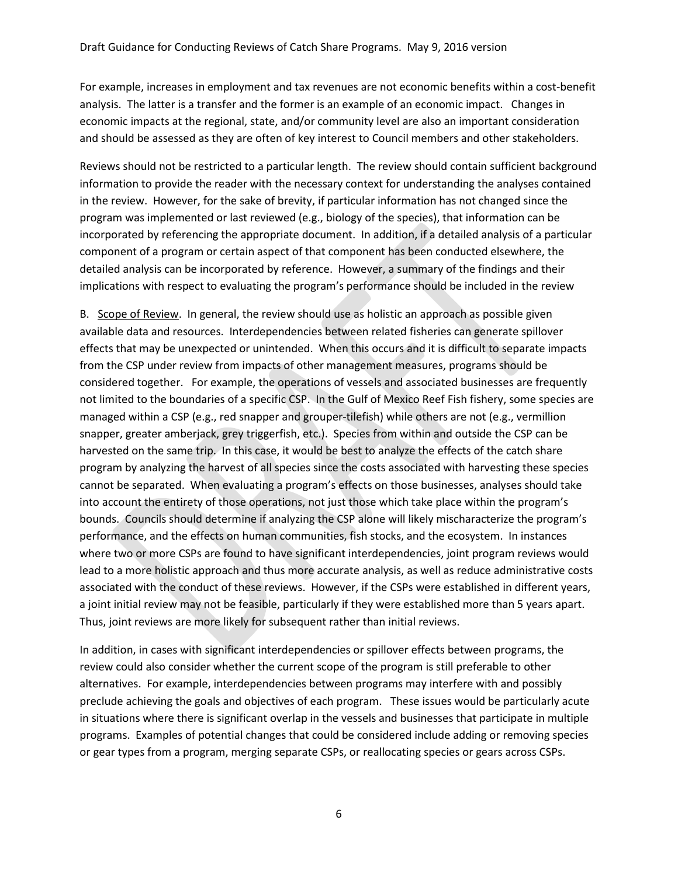For example, increases in employment and tax revenues are not economic benefits within a cost-benefit analysis. The latter is a transfer and the former is an example of an economic impact. Changes in economic impacts at the regional, state, and/or community level are also an important consideration and should be assessed as they are often of key interest to Council members and other stakeholders.

Reviews should not be restricted to a particular length. The review should contain sufficient background information to provide the reader with the necessary context for understanding the analyses contained in the review. However, for the sake of brevity, if particular information has not changed since the program was implemented or last reviewed (e.g., biology of the species), that information can be incorporated by referencing the appropriate document. In addition, if a detailed analysis of a particular component of a program or certain aspect of that component has been conducted elsewhere, the detailed analysis can be incorporated by reference. However, a summary of the findings and their implications with respect to evaluating the program's performance should be included in the review

B. Scope of Review. In general, the review should use as holistic an approach as possible given available data and resources. Interdependencies between related fisheries can generate spillover effects that may be unexpected or unintended. When this occurs and it is difficult to separate impacts from the CSP under review from impacts of other management measures, programs should be considered together. For example, the operations of vessels and associated businesses are frequently not limited to the boundaries of a specific CSP. In the Gulf of Mexico Reef Fish fishery, some species are managed within a CSP (e.g., red snapper and grouper-tilefish) while others are not (e.g., vermillion snapper, greater amberjack, grey triggerfish, etc.). Species from within and outside the CSP can be harvested on the same trip. In this case, it would be best to analyze the effects of the catch share program by analyzing the harvest of all species since the costs associated with harvesting these species cannot be separated. When evaluating a program's effects on those businesses, analyses should take into account the entirety of those operations, not just those which take place within the program's bounds. Councils should determine if analyzing the CSP alone will likely mischaracterize the program's performance, and the effects on human communities, fish stocks, and the ecosystem. In instances where two or more CSPs are found to have significant interdependencies, joint program reviews would lead to a more holistic approach and thus more accurate analysis, as well as reduce administrative costs associated with the conduct of these reviews. However, if the CSPs were established in different years, a joint initial review may not be feasible, particularly if they were established more than 5 years apart. Thus, joint reviews are more likely for subsequent rather than initial reviews.

In addition, in cases with significant interdependencies or spillover effects between programs, the review could also consider whether the current scope of the program is still preferable to other alternatives. For example, interdependencies between programs may interfere with and possibly preclude achieving the goals and objectives of each program. These issues would be particularly acute in situations where there is significant overlap in the vessels and businesses that participate in multiple programs. Examples of potential changes that could be considered include adding or removing species or gear types from a program, merging separate CSPs, or reallocating species or gears across CSPs.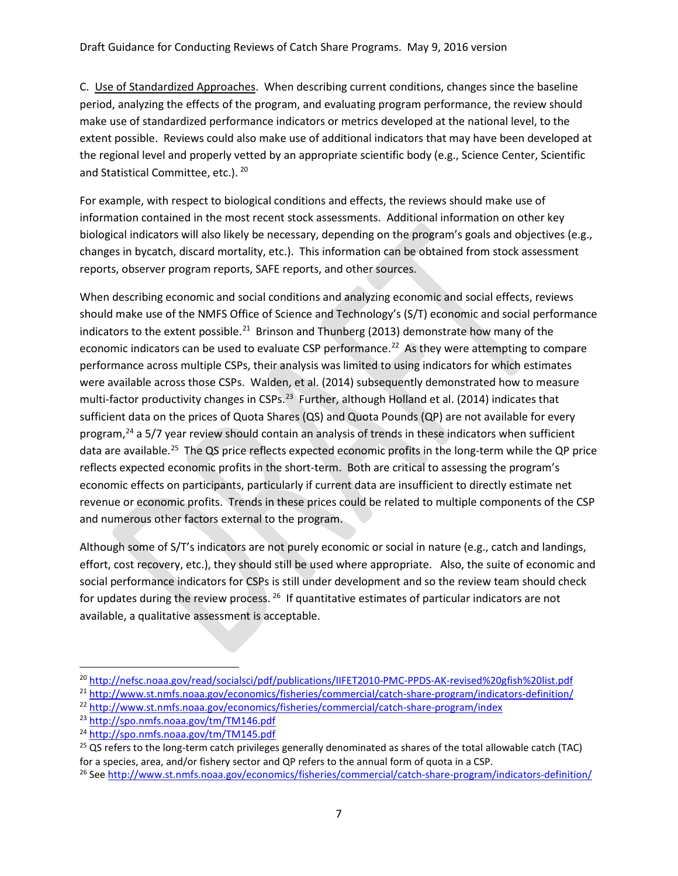C. Use of Standardized Approaches. When describing current conditions, changes since the baseline period, analyzing the effects of the program, and evaluating program performance, the review should make use of standardized performance indicators or metrics developed at the national level, to the extent possible. Reviews could also make use of additional indicators that may have been developed at the regional level and properly vetted by an appropriate scientific body (e.g., Science Center, Scientific and Statistical Committee, etc.). <sup>[20](#page-6-0)</sup>

For example, with respect to biological conditions and effects, the reviews should make use of information contained in the most recent stock assessments. Additional information on other key biological indicators will also likely be necessary, depending on the program's goals and objectives (e.g., changes in bycatch, discard mortality, etc.). This information can be obtained from stock assessment reports, observer program reports, SAFE reports, and other sources.

When describing economic and social conditions and analyzing economic and social effects, reviews should make use of the NMFS Office of Science and Technology's (S/T) economic and social performance indicators to the extent possible.<sup>[21](#page-6-1)</sup> Brinson and Thunberg (2013) demonstrate how many of the economic indicators can be used to evaluate CSP performance.<sup>22</sup> As they were attempting to compare performance across multiple CSPs, their analysis was limited to using indicators for which estimates were available across those CSPs. Walden, et al. (2014) subsequently demonstrated how to measure multi-factor productivity changes in CSPs.<sup>[23](#page-6-3)</sup> Further, although Holland et al. (2014) indicates that sufficient data on the prices of Quota Shares (QS) and Quota Pounds (QP) are not available for every program,<sup>[24](#page-6-4)</sup> a 5/7 year review should contain an analysis of trends in these indicators when sufficient data are available.<sup>25</sup> The QS price reflects expected economic profits in the long-term while the QP price reflects expected economic profits in the short-term. Both are critical to assessing the program's economic effects on participants, particularly if current data are insufficient to directly estimate net revenue or economic profits. Trends in these prices could be related to multiple components of the CSP and numerous other factors external to the program.

Although some of S/T's indicators are not purely economic or social in nature (e.g., catch and landings, effort, cost recovery, etc.), they should still be used where appropriate. Also, the suite of economic and social performance indicators for CSPs is still under development and so the review team should check for updates during the review process.  $26$  If quantitative estimates of particular indicators are not available, a qualitative assessment is acceptable.

<span id="page-6-0"></span> <sup>20</sup> <http://nefsc.noaa.gov/read/socialsci/pdf/publications/IIFET2010-PMC-PPDS-AK-revised%20gfish%20list.pdf>

<span id="page-6-1"></span><sup>21</sup> <http://www.st.nmfs.noaa.gov/economics/fisheries/commercial/catch-share-program/indicators-definition/>

<span id="page-6-2"></span><sup>22</sup> <http://www.st.nmfs.noaa.gov/economics/fisheries/commercial/catch-share-program/index>

<span id="page-6-3"></span><sup>23</sup> <http://spo.nmfs.noaa.gov/tm/TM146.pdf>

<span id="page-6-4"></span><sup>24</sup> <http://spo.nmfs.noaa.gov/tm/TM145.pdf>

<span id="page-6-5"></span><sup>&</sup>lt;sup>25</sup> QS refers to the long-term catch privileges generally denominated as shares of the total allowable catch (TAC) for a species, area, and/or fishery sector and QP refers to the annual form of quota in a CSP.<br><sup>26</sup> Se[e http://www.st.nmfs.noaa.gov/economics/fisheries/commercial/catch-share-program/indicators-definition/](http://www.st.nmfs.noaa.gov/economics/fisheries/commercial/catch-share-program/indicators-definition/)

<span id="page-6-6"></span>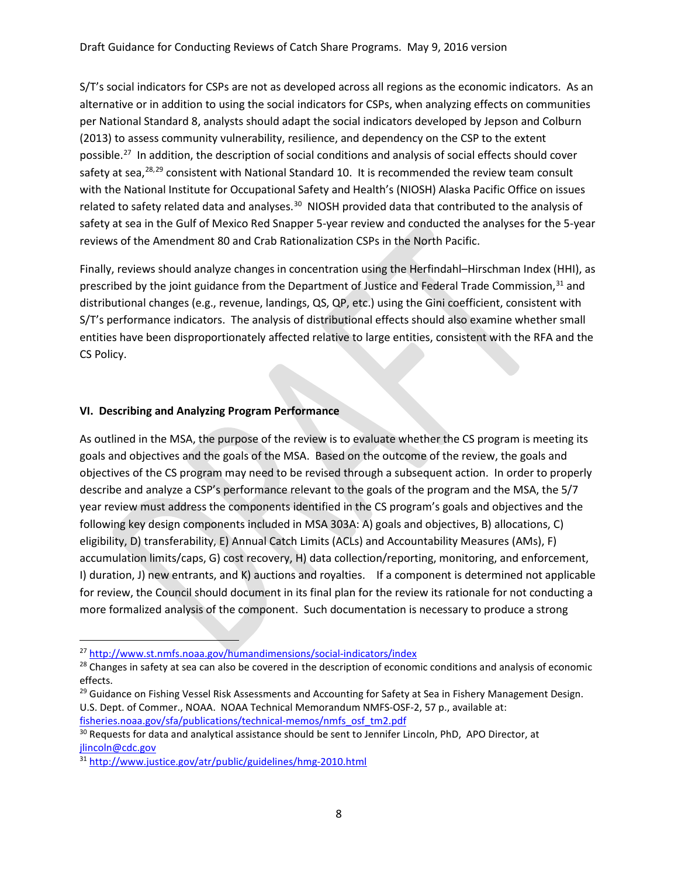S/T's social indicators for CSPs are not as developed across all regions as the economic indicators. As an alternative or in addition to using the social indicators for CSPs, when analyzing effects on communities per National Standard 8, analysts should adapt the social indicators developed by Jepson and Colburn (2013) to assess community vulnerability, resilience, and dependency on the CSP to the extent possible.[27](#page-7-0) In addition, the description of social conditions and analysis of social effects should cover safety at sea,<sup>[28](#page-7-1),[29](#page-7-2)</sup> consistent with National Standard 10. It is recommended the review team consult with the National Institute for Occupational Safety and Health's (NIOSH) Alaska Pacific Office on issues related to safety related data and analyses.<sup>30</sup> NIOSH provided data that contributed to the analysis of safety at sea in the Gulf of Mexico Red Snapper 5-year review and conducted the analyses for the 5-year reviews of the Amendment 80 and Crab Rationalization CSPs in the North Pacific.

Finally, reviews should analyze changes in concentration using the Herfindahl–Hirschman Index (HHI), as prescribed by the joint guidance from the Department of Justice and Federal Trade Commission,<sup>[31](#page-7-4)</sup> and distributional changes (e.g., revenue, landings, QS, QP, etc.) using the Gini coefficient, consistent with S/T's performance indicators. The analysis of distributional effects should also examine whether small entities have been disproportionately affected relative to large entities, consistent with the RFA and the CS Policy.

## **VI. Describing and Analyzing Program Performance**

As outlined in the MSA, the purpose of the review is to evaluate whether the CS program is meeting its goals and objectives and the goals of the MSA. Based on the outcome of the review, the goals and objectives of the CS program may need to be revised through a subsequent action. In order to properly describe and analyze a CSP's performance relevant to the goals of the program and the MSA, the 5/7 year review must address the components identified in the CS program's goals and objectives and the following key design components included in MSA 303A: A) goals and objectives, B) allocations, C) eligibility, D) transferability, E) Annual Catch Limits (ACLs) and Accountability Measures (AMs), F) accumulation limits/caps, G) cost recovery, H) data collection/reporting, monitoring, and enforcement, I) duration, J) new entrants, and K) auctions and royalties. If a component is determined not applicable for review, the Council should document in its final plan for the review its rationale for not conducting a more formalized analysis of the component. Such documentation is necessary to produce a strong

<span id="page-7-0"></span> <sup>27</sup> <http://www.st.nmfs.noaa.gov/humandimensions/social-indicators/index>

<span id="page-7-1"></span><sup>&</sup>lt;sup>28</sup> Changes in safety at sea can also be covered in the description of economic conditions and analysis of economic effects.

<span id="page-7-2"></span><sup>&</sup>lt;sup>29</sup> Guidance on Fishing Vessel Risk Assessments and Accounting for Safety at Sea in Fishery Management Design. U.S. Dept. of Commer., NOAA. NOAA Technical Memorandum NMFS-OSF-2, 57 p., available at: [fisheries.noaa.gov/sfa/publications/technical-memos/nmfs\\_osf\\_tm2.pdf](http://www.fisheries.noaa.gov/sfa/publications/technical-memos/nmfs_osf_tm2.pdf)

<span id="page-7-3"></span><sup>&</sup>lt;sup>30</sup> Requests for data and analytical assistance should be sent to Jennifer Lincoln, PhD, APO Director, at [jlincoln@cdc.gov](mailto:jlincoln@cdc.gov)

<span id="page-7-4"></span><sup>31</sup> <http://www.justice.gov/atr/public/guidelines/hmg-2010.html>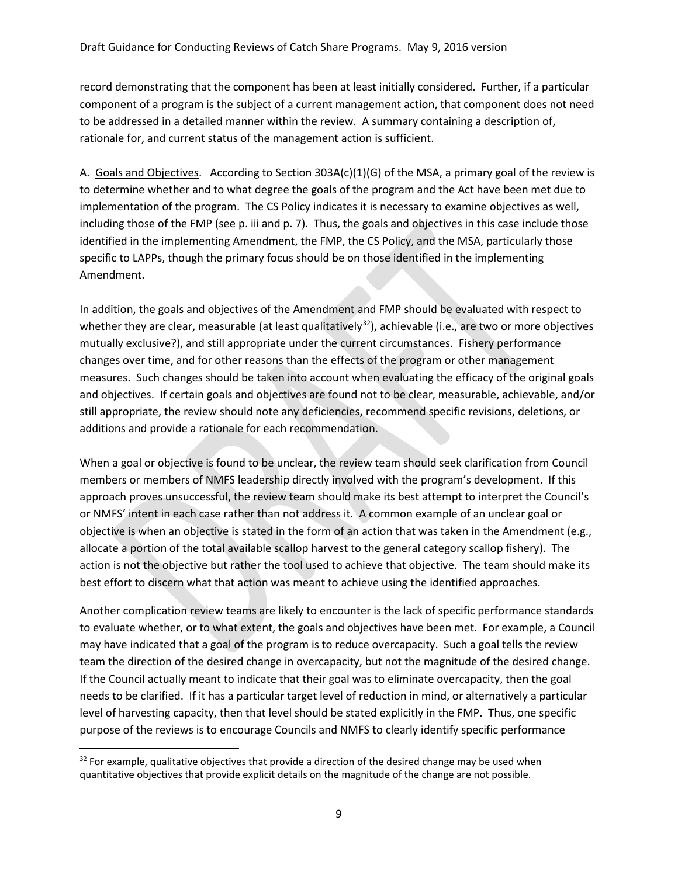record demonstrating that the component has been at least initially considered. Further, if a particular component of a program is the subject of a current management action, that component does not need to be addressed in a detailed manner within the review. A summary containing a description of, rationale for, and current status of the management action is sufficient.

A. Goals and Objectives. According to Section 303A(c)(1)(G) of the MSA, a primary goal of the review is to determine whether and to what degree the goals of the program and the Act have been met due to implementation of the program. The CS Policy indicates it is necessary to examine objectives as well, including those of the FMP (see p. iii and p. 7). Thus, the goals and objectives in this case include those identified in the implementing Amendment, the FMP, the CS Policy, and the MSA, particularly those specific to LAPPs, though the primary focus should be on those identified in the implementing Amendment.

In addition, the goals and objectives of the Amendment and FMP should be evaluated with respect to whether they are clear, measurable (at least qualitatively<sup>32</sup>), achievable (i.e., are two or more objectives mutually exclusive?), and still appropriate under the current circumstances. Fishery performance changes over time, and for other reasons than the effects of the program or other management measures. Such changes should be taken into account when evaluating the efficacy of the original goals and objectives. If certain goals and objectives are found not to be clear, measurable, achievable, and/or still appropriate, the review should note any deficiencies, recommend specific revisions, deletions, or additions and provide a rationale for each recommendation.

When a goal or objective is found to be unclear, the review team should seek clarification from Council members or members of NMFS leadership directly involved with the program's development. If this approach proves unsuccessful, the review team should make its best attempt to interpret the Council's or NMFS' intent in each case rather than not address it. A common example of an unclear goal or objective is when an objective is stated in the form of an action that was taken in the Amendment (e.g., allocate a portion of the total available scallop harvest to the general category scallop fishery). The action is not the objective but rather the tool used to achieve that objective. The team should make its best effort to discern what that action was meant to achieve using the identified approaches.

Another complication review teams are likely to encounter is the lack of specific performance standards to evaluate whether, or to what extent, the goals and objectives have been met. For example, a Council may have indicated that a goal of the program is to reduce overcapacity. Such a goal tells the review team the direction of the desired change in overcapacity, but not the magnitude of the desired change. If the Council actually meant to indicate that their goal was to eliminate overcapacity, then the goal needs to be clarified. If it has a particular target level of reduction in mind, or alternatively a particular level of harvesting capacity, then that level should be stated explicitly in the FMP. Thus, one specific purpose of the reviews is to encourage Councils and NMFS to clearly identify specific performance

<span id="page-8-0"></span> $32$  For example, qualitative objectives that provide a direction of the desired change may be used when quantitative objectives that provide explicit details on the magnitude of the change are not possible.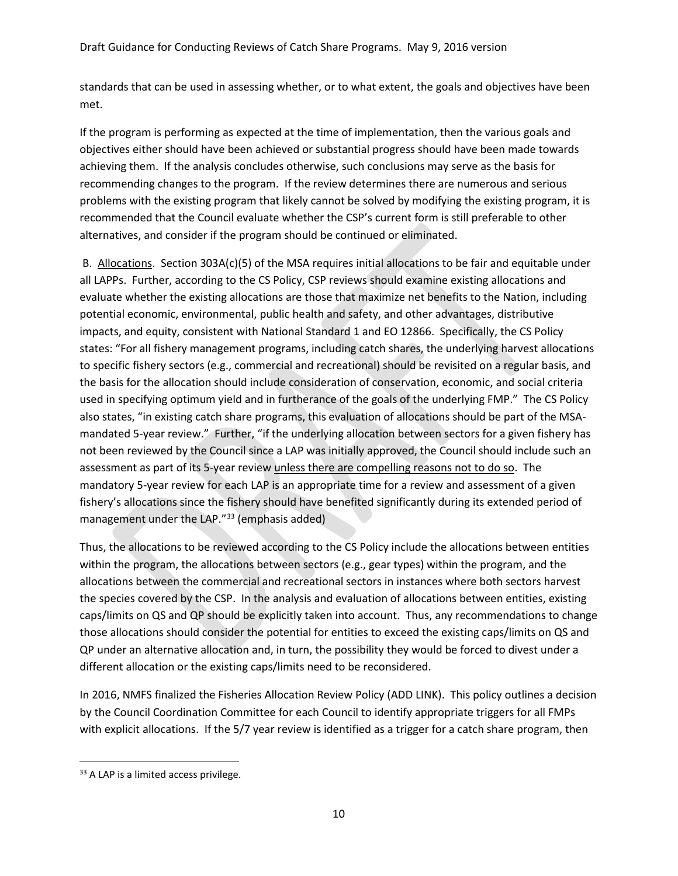standards that can be used in assessing whether, or to what extent, the goals and objectives have been met.

If the program is performing as expected at the time of implementation, then the various goals and objectives either should have been achieved or substantial progress should have been made towards achieving them. If the analysis concludes otherwise, such conclusions may serve as the basis for recommending changes to the program. If the review determines there are numerous and serious problems with the existing program that likely cannot be solved by modifying the existing program, it is recommended that the Council evaluate whether the CSP's current form is still preferable to other alternatives, and consider if the program should be continued or eliminated.

B. Allocations. Section 303A(c)(5) of the MSA requires initial allocations to be fair and equitable under all LAPPs. Further, according to the CS Policy, CSP reviews should examine existing allocations and evaluate whether the existing allocations are those that maximize net benefits to the Nation, including potential economic, environmental, public health and safety, and other advantages, distributive impacts, and equity, consistent with National Standard 1 and EO 12866. Specifically, the CS Policy states: "For all fishery management programs, including catch shares, the underlying harvest allocations to specific fishery sectors (e.g., commercial and recreational) should be revisited on a regular basis, and the basis for the allocation should include consideration of conservation, economic, and social criteria used in specifying optimum yield and in furtherance of the goals of the underlying FMP." The CS Policy also states, "in existing catch share programs, this evaluation of allocations should be part of the MSAmandated 5-year review." Further, "if the underlying allocation between sectors for a given fishery has not been reviewed by the Council since a LAP was initially approved, the Council should include such an assessment as part of its 5-year review unless there are compelling reasons not to do so. The mandatory 5-year review for each LAP is an appropriate time for a review and assessment of a given fishery's allocations since the fishery should have benefited significantly during its extended period of management under the LAP."<sup>[33](#page-9-0)</sup> (emphasis added)

Thus, the allocations to be reviewed according to the CS Policy include the allocations between entities within the program, the allocations between sectors (e.g., gear types) within the program, and the allocations between the commercial and recreational sectors in instances where both sectors harvest the species covered by the CSP. In the analysis and evaluation of allocations between entities, existing caps/limits on QS and QP should be explicitly taken into account. Thus, any recommendations to change those allocations should consider the potential for entities to exceed the existing caps/limits on QS and QP under an alternative allocation and, in turn, the possibility they would be forced to divest under a different allocation or the existing caps/limits need to be reconsidered.

In 2016, NMFS finalized the Fisheries Allocation Review Policy (ADD LINK). This policy outlines a decision by the Council Coordination Committee for each Council to identify appropriate triggers for all FMPs with explicit allocations. If the 5/7 year review is identified as a trigger for a catch share program, then

<span id="page-9-0"></span><sup>&</sup>lt;sup>33</sup> A LAP is a limited access privilege.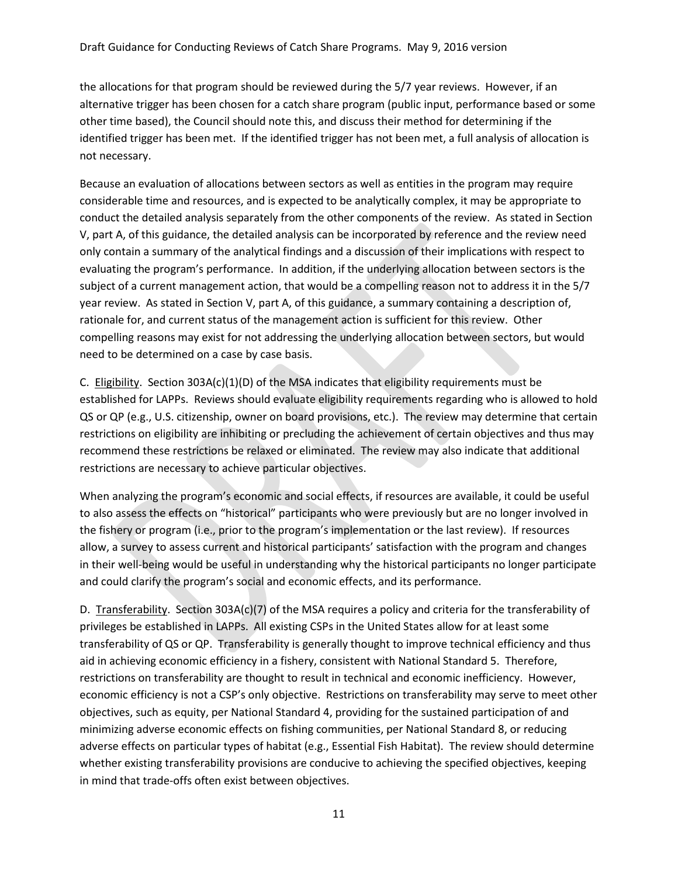the allocations for that program should be reviewed during the 5/7 year reviews. However, if an alternative trigger has been chosen for a catch share program (public input, performance based or some other time based), the Council should note this, and discuss their method for determining if the identified trigger has been met. If the identified trigger has not been met, a full analysis of allocation is not necessary.

Because an evaluation of allocations between sectors as well as entities in the program may require considerable time and resources, and is expected to be analytically complex, it may be appropriate to conduct the detailed analysis separately from the other components of the review. As stated in Section V, part A, of this guidance, the detailed analysis can be incorporated by reference and the review need only contain a summary of the analytical findings and a discussion of their implications with respect to evaluating the program's performance. In addition, if the underlying allocation between sectors is the subject of a current management action, that would be a compelling reason not to address it in the 5/7 year review. As stated in Section V, part A, of this guidance, a summary containing a description of, rationale for, and current status of the management action is sufficient for this review. Other compelling reasons may exist for not addressing the underlying allocation between sectors, but would need to be determined on a case by case basis.

C. Eligibility. Section 303A(c)(1)(D) of the MSA indicates that eligibility requirements must be established for LAPPs. Reviews should evaluate eligibility requirements regarding who is allowed to hold QS or QP (e.g., U.S. citizenship, owner on board provisions, etc.). The review may determine that certain restrictions on eligibility are inhibiting or precluding the achievement of certain objectives and thus may recommend these restrictions be relaxed or eliminated. The review may also indicate that additional restrictions are necessary to achieve particular objectives.

When analyzing the program's economic and social effects, if resources are available, it could be useful to also assess the effects on "historical" participants who were previously but are no longer involved in the fishery or program (i.e., prior to the program's implementation or the last review). If resources allow, a survey to assess current and historical participants' satisfaction with the program and changes in their well-being would be useful in understanding why the historical participants no longer participate and could clarify the program's social and economic effects, and its performance.

D. Transferability. Section 303A(c)(7) of the MSA requires a policy and criteria for the transferability of privileges be established in LAPPs. All existing CSPs in the United States allow for at least some transferability of QS or QP. Transferability is generally thought to improve technical efficiency and thus aid in achieving economic efficiency in a fishery, consistent with National Standard 5. Therefore, restrictions on transferability are thought to result in technical and economic inefficiency. However, economic efficiency is not a CSP's only objective. Restrictions on transferability may serve to meet other objectives, such as equity, per National Standard 4, providing for the sustained participation of and minimizing adverse economic effects on fishing communities, per National Standard 8, or reducing adverse effects on particular types of habitat (e.g., Essential Fish Habitat). The review should determine whether existing transferability provisions are conducive to achieving the specified objectives, keeping in mind that trade-offs often exist between objectives.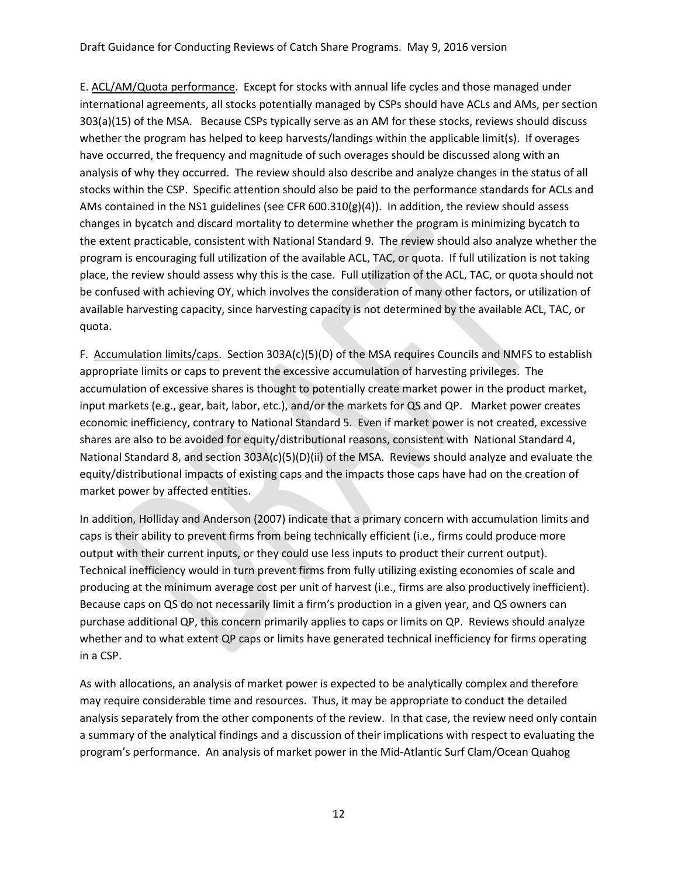E. ACL/AM/Quota performance. Except for stocks with annual life cycles and those managed under international agreements, all stocks potentially managed by CSPs should have ACLs and AMs, per section 303(a)(15) of the MSA. Because CSPs typically serve as an AM for these stocks, reviews should discuss whether the program has helped to keep harvests/landings within the applicable limit(s). If overages have occurred, the frequency and magnitude of such overages should be discussed along with an analysis of why they occurred. The review should also describe and analyze changes in the status of all stocks within the CSP. Specific attention should also be paid to the performance standards for ACLs and AMs contained in the NS1 guidelines (see CFR 600.310(g)(4)). In addition, the review should assess changes in bycatch and discard mortality to determine whether the program is minimizing bycatch to the extent practicable, consistent with National Standard 9. The review should also analyze whether the program is encouraging full utilization of the available ACL, TAC, or quota. If full utilization is not taking place, the review should assess why this is the case. Full utilization of the ACL, TAC, or quota should not be confused with achieving OY, which involves the consideration of many other factors, or utilization of available harvesting capacity, since harvesting capacity is not determined by the available ACL, TAC, or quota.

F. Accumulation limits/caps. Section 303A(c)(5)(D) of the MSA requires Councils and NMFS to establish appropriate limits or caps to prevent the excessive accumulation of harvesting privileges. The accumulation of excessive shares is thought to potentially create market power in the product market, input markets (e.g., gear, bait, labor, etc.), and/or the markets for QS and QP. Market power creates economic inefficiency, contrary to National Standard 5. Even if market power is not created, excessive shares are also to be avoided for equity/distributional reasons, consistent with National Standard 4, National Standard 8, and section 303A(c)(5)(D)(ii) of the MSA. Reviews should analyze and evaluate the equity/distributional impacts of existing caps and the impacts those caps have had on the creation of market power by affected entities.

In addition, Holliday and Anderson (2007) indicate that a primary concern with accumulation limits and caps is their ability to prevent firms from being technically efficient (i.e., firms could produce more output with their current inputs, or they could use less inputs to product their current output). Technical inefficiency would in turn prevent firms from fully utilizing existing economies of scale and producing at the minimum average cost per unit of harvest (i.e., firms are also productively inefficient). Because caps on QS do not necessarily limit a firm's production in a given year, and QS owners can purchase additional QP, this concern primarily applies to caps or limits on QP. Reviews should analyze whether and to what extent QP caps or limits have generated technical inefficiency for firms operating in a CSP.

As with allocations, an analysis of market power is expected to be analytically complex and therefore may require considerable time and resources. Thus, it may be appropriate to conduct the detailed analysis separately from the other components of the review. In that case, the review need only contain a summary of the analytical findings and a discussion of their implications with respect to evaluating the program's performance. An analysis of market power in the Mid-Atlantic Surf Clam/Ocean Quahog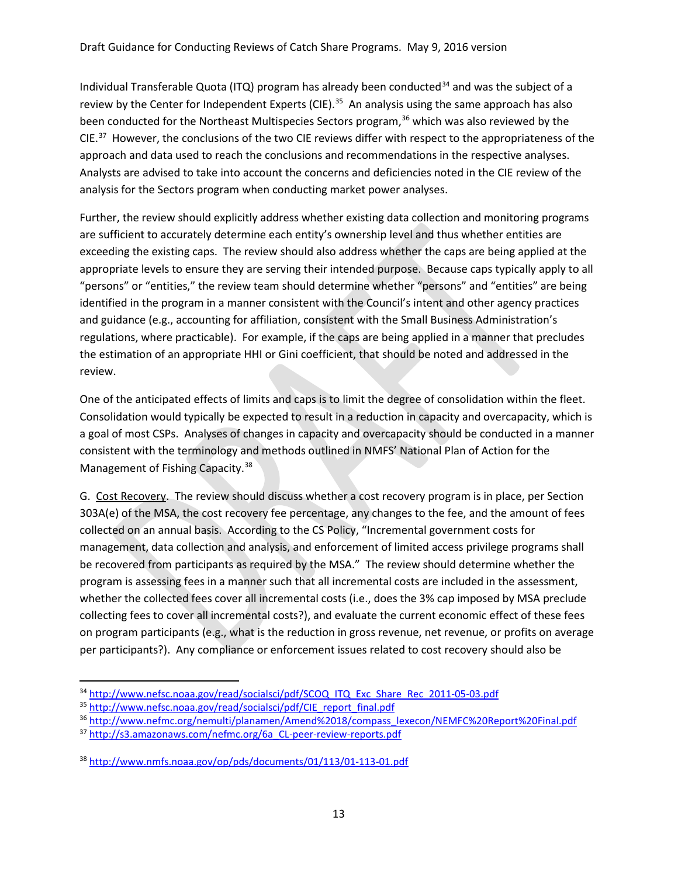Individual Transferable Quota (ITQ) program has already been conducted<sup>[34](#page-12-0)</sup> and was the subject of a review by the Center for Independent Experts (CIE).<sup>35</sup> An analysis using the same approach has also been conducted for the Northeast Multispecies Sectors program,<sup>[36](#page-12-2)</sup> which was also reviewed by the CIE.<sup>[37](#page-12-3)</sup> However, the conclusions of the two CIE reviews differ with respect to the appropriateness of the approach and data used to reach the conclusions and recommendations in the respective analyses. Analysts are advised to take into account the concerns and deficiencies noted in the CIE review of the analysis for the Sectors program when conducting market power analyses.

Further, the review should explicitly address whether existing data collection and monitoring programs are sufficient to accurately determine each entity's ownership level and thus whether entities are exceeding the existing caps. The review should also address whether the caps are being applied at the appropriate levels to ensure they are serving their intended purpose. Because caps typically apply to all "persons" or "entities," the review team should determine whether "persons" and "entities" are being identified in the program in a manner consistent with the Council's intent and other agency practices and guidance (e.g., accounting for affiliation, consistent with the Small Business Administration's regulations, where practicable). For example, if the caps are being applied in a manner that precludes the estimation of an appropriate HHI or Gini coefficient, that should be noted and addressed in the review.

One of the anticipated effects of limits and caps is to limit the degree of consolidation within the fleet. Consolidation would typically be expected to result in a reduction in capacity and overcapacity, which is a goal of most CSPs. Analyses of changes in capacity and overcapacity should be conducted in a manner consistent with the terminology and methods outlined in NMFS' National Plan of Action for the Management of Fishing Capacity.<sup>[38](#page-12-4)</sup>

G. Cost Recovery. The review should discuss whether a cost recovery program is in place, per Section 303A(e) of the MSA, the cost recovery fee percentage, any changes to the fee, and the amount of fees collected on an annual basis. According to the CS Policy, "Incremental government costs for management, data collection and analysis, and enforcement of limited access privilege programs shall be recovered from participants as required by the MSA." The review should determine whether the program is assessing fees in a manner such that all incremental costs are included in the assessment, whether the collected fees cover all incremental costs (i.e., does the 3% cap imposed by MSA preclude collecting fees to cover all incremental costs?), and evaluate the current economic effect of these fees on program participants (e.g., what is the reduction in gross revenue, net revenue, or profits on average per participants?). Any compliance or enforcement issues related to cost recovery should also be

<span id="page-12-0"></span><sup>&</sup>lt;sup>34</sup> [http://www.nefsc.noaa.gov/read/socialsci/pdf/SCOQ\\_ITQ\\_Exc\\_Share\\_Rec\\_2011-05-03.pdf](http://www.nefsc.noaa.gov/read/socialsci/pdf/SCOQ_ITQ_Exc_Share_Rec_2011-05-03.pdf)

<span id="page-12-1"></span><sup>35</sup> [http://www.nefsc.noaa.gov/read/socialsci/pdf/CIE\\_report\\_final.pdf](http://www.nefsc.noaa.gov/read/socialsci/pdf/CIE_report_final.pdf)

<span id="page-12-2"></span><sup>36</sup> [http://www.nefmc.org/nemulti/planamen/Amend%2018/compass\\_lexecon/NEMFC%20Report%20Final.pdf](http://www.nefmc.org/nemulti/planamen/Amend%2018/compass_lexecon/NEMFC%20Report%20Final.pdf)

<span id="page-12-3"></span><sup>37</sup> http://s3.amazonaws.com/nefmc.org/6a CL-peer-review-reports.pdf

<span id="page-12-4"></span><sup>38</sup> <http://www.nmfs.noaa.gov/op/pds/documents/01/113/01-113-01.pdf>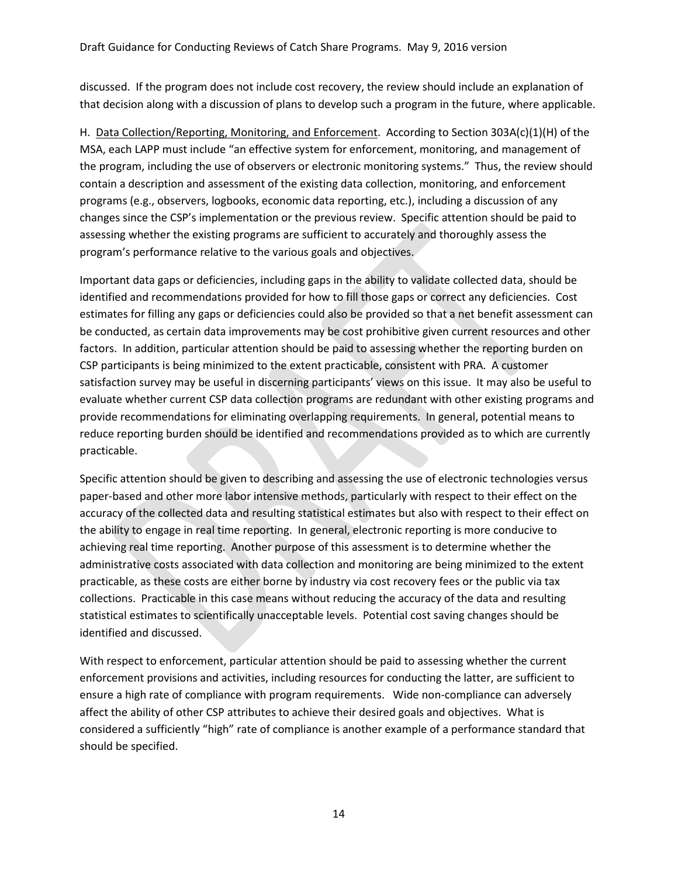discussed. If the program does not include cost recovery, the review should include an explanation of that decision along with a discussion of plans to develop such a program in the future, where applicable.

H. Data Collection/Reporting, Monitoring, and Enforcement. According to Section 303A(c)(1)(H) of the MSA, each LAPP must include "an effective system for enforcement, monitoring, and management of the program, including the use of observers or electronic monitoring systems." Thus, the review should contain a description and assessment of the existing data collection, monitoring, and enforcement programs (e.g., observers, logbooks, economic data reporting, etc.), including a discussion of any changes since the CSP's implementation or the previous review. Specific attention should be paid to assessing whether the existing programs are sufficient to accurately and thoroughly assess the program's performance relative to the various goals and objectives.

Important data gaps or deficiencies, including gaps in the ability to validate collected data, should be identified and recommendations provided for how to fill those gaps or correct any deficiencies. Cost estimates for filling any gaps or deficiencies could also be provided so that a net benefit assessment can be conducted, as certain data improvements may be cost prohibitive given current resources and other factors. In addition, particular attention should be paid to assessing whether the reporting burden on CSP participants is being minimized to the extent practicable, consistent with PRA. A customer satisfaction survey may be useful in discerning participants' views on this issue. It may also be useful to evaluate whether current CSP data collection programs are redundant with other existing programs and provide recommendations for eliminating overlapping requirements. In general, potential means to reduce reporting burden should be identified and recommendations provided as to which are currently practicable.

Specific attention should be given to describing and assessing the use of electronic technologies versus paper-based and other more labor intensive methods, particularly with respect to their effect on the accuracy of the collected data and resulting statistical estimates but also with respect to their effect on the ability to engage in real time reporting. In general, electronic reporting is more conducive to achieving real time reporting. Another purpose of this assessment is to determine whether the administrative costs associated with data collection and monitoring are being minimized to the extent practicable, as these costs are either borne by industry via cost recovery fees or the public via tax collections. Practicable in this case means without reducing the accuracy of the data and resulting statistical estimates to scientifically unacceptable levels. Potential cost saving changes should be identified and discussed.

With respect to enforcement, particular attention should be paid to assessing whether the current enforcement provisions and activities, including resources for conducting the latter, are sufficient to ensure a high rate of compliance with program requirements. Wide non-compliance can adversely affect the ability of other CSP attributes to achieve their desired goals and objectives. What is considered a sufficiently "high" rate of compliance is another example of a performance standard that should be specified.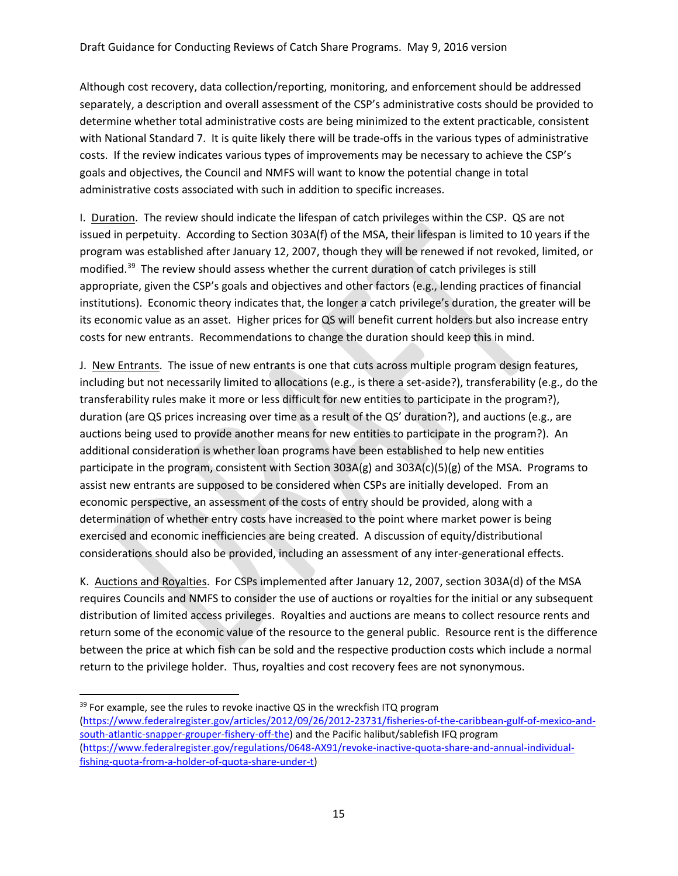Although cost recovery, data collection/reporting, monitoring, and enforcement should be addressed separately, a description and overall assessment of the CSP's administrative costs should be provided to determine whether total administrative costs are being minimized to the extent practicable, consistent with National Standard 7. It is quite likely there will be trade-offs in the various types of administrative costs. If the review indicates various types of improvements may be necessary to achieve the CSP's goals and objectives, the Council and NMFS will want to know the potential change in total administrative costs associated with such in addition to specific increases.

I. Duration. The review should indicate the lifespan of catch privileges within the CSP. QS are not issued in perpetuity. According to Section 303A(f) of the MSA, their lifespan is limited to 10 years if the program was established after January 12, 2007, though they will be renewed if not revoked, limited, or modified.[39](#page-14-0) The review should assess whether the current duration of catch privileges is still appropriate, given the CSP's goals and objectives and other factors (e.g., lending practices of financial institutions). Economic theory indicates that, the longer a catch privilege's duration, the greater will be its economic value as an asset. Higher prices for QS will benefit current holders but also increase entry costs for new entrants. Recommendations to change the duration should keep this in mind.

J. New Entrants. The issue of new entrants is one that cuts across multiple program design features, including but not necessarily limited to allocations (e.g., is there a set-aside?), transferability (e.g., do the transferability rules make it more or less difficult for new entities to participate in the program?), duration (are QS prices increasing over time as a result of the QS' duration?), and auctions (e.g., are auctions being used to provide another means for new entities to participate in the program?). An additional consideration is whether loan programs have been established to help new entities participate in the program, consistent with Section 303A(g) and 303A(c)(5)(g) of the MSA. Programs to assist new entrants are supposed to be considered when CSPs are initially developed. From an economic perspective, an assessment of the costs of entry should be provided, along with a determination of whether entry costs have increased to the point where market power is being exercised and economic inefficiencies are being created. A discussion of equity/distributional considerations should also be provided, including an assessment of any inter-generational effects.

K. Auctions and Royalties. For CSPs implemented after January 12, 2007, section 303A(d) of the MSA requires Councils and NMFS to consider the use of auctions or royalties for the initial or any subsequent distribution of limited access privileges. Royalties and auctions are means to collect resource rents and return some of the economic value of the resource to the general public. Resource rent is the difference between the price at which fish can be sold and the respective production costs which include a normal return to the privilege holder. Thus, royalties and cost recovery fees are not synonymous.

<span id="page-14-0"></span> $39$  For example, see the rules to revoke inactive QS in the wreckfish ITQ program [\(https://www.federalregister.gov/articles/2012/09/26/2012-23731/fisheries-of-the-caribbean-gulf-of-mexico-and](https://www.federalregister.gov/articles/2012/09/26/2012-23731/fisheries-of-the-caribbean-gulf-of-mexico-and-south-atlantic-snapper-grouper-fishery-off-the)[south-atlantic-snapper-grouper-fishery-off-the\)](https://www.federalregister.gov/articles/2012/09/26/2012-23731/fisheries-of-the-caribbean-gulf-of-mexico-and-south-atlantic-snapper-grouper-fishery-off-the) and the Pacific halibut/sablefish IFQ program [\(https://www.federalregister.gov/regulations/0648-AX91/revoke-inactive-quota-share-and-annual-individual](https://www.federalregister.gov/regulations/0648-AX91/revoke-inactive-quota-share-and-annual-individual-fishing-quota-from-a-holder-of-quota-share-under-t)[fishing-quota-from-a-holder-of-quota-share-under-t\)](https://www.federalregister.gov/regulations/0648-AX91/revoke-inactive-quota-share-and-annual-individual-fishing-quota-from-a-holder-of-quota-share-under-t)